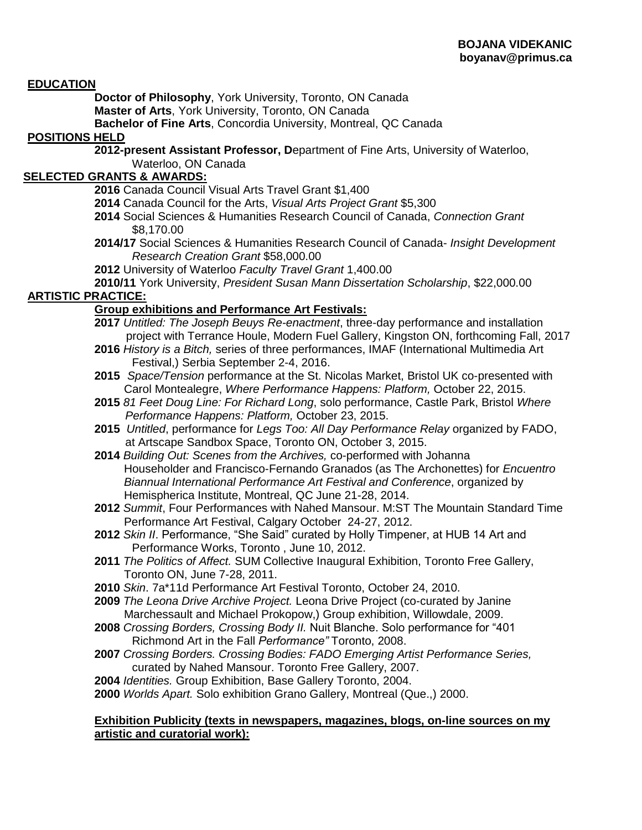#### **EDUCATION**

**Doctor of Philosophy**, York University, Toronto, ON Canada **Master of Arts**, York University, Toronto, ON Canada

**Bachelor of Fine Arts**, Concordia University, Montreal, QC Canada

### **POSITIONS HELD**

**2012-present Assistant Professor, D**epartment of Fine Arts, University of Waterloo, Waterloo, ON Canada

## **SELECTED GRANTS & AWARDS:**

- **2016** Canada Council Visual Arts Travel Grant \$1,400
- **2014** Canada Council for the Arts, *Visual Arts Project Grant* \$5,300
- **2014** Social Sciences & Humanities Research Council of Canada, *Connection Grant* \$8,170.00
- **2014/17** Social Sciences & Humanities Research Council of Canada- *Insight Development Research Creation Grant* \$58,000.00
- **2012** University of Waterloo *Faculty Travel Grant* 1,400.00

**2010/11** York University, *President Susan Mann Dissertation Scholarship*, \$22,000.00 **ARTISTIC PRACTICE:**

### **Group exhibitions and Performance Art Festivals:**

- **2017** *Untitled: The Joseph Beuys Re-enactment*, three-day performance and installation project with Terrance Houle, Modern Fuel Gallery, Kingston ON, forthcoming Fall, 2017
- **2016** *History is a Bitch,* series of three performances, IMAF (International Multimedia Art Festival,) Serbia September 2-4, 2016.
- **2015** *Space/Tension* performance at the St. Nicolas Market, Bristol UK co-presented with Carol Montealegre, *Where Performance Happens: Platform,* October 22, 2015.
- **2015** *81 Feet Doug Line: For Richard Long*, solo performance, Castle Park, Bristol *Where Performance Happens: Platform,* October 23, 2015.
- **2015** *Untitled*, performance for *Legs Too: All Day Performance Relay* organized by FADO, at Artscape Sandbox Space, Toronto ON, October 3, 2015.
- **2014** *Building Out: Scenes from the Archives,* co-performed with Johanna Householder and Francisco-Fernando Granados (as The Archonettes) for *Encuentro Biannual International Performance Art Festival and Conference*, organized by Hemispherica Institute, Montreal, QC June 21-28, 2014.
- **2012** *Summit*, Four Performances with Nahed Mansour. M:ST The Mountain Standard Time Performance Art Festival, Calgary October 24-27, 2012.
- **2012** *Skin II*. Performance, "She Said" curated by Holly Timpener, at HUB 14 Art and Performance Works, Toronto , June 10, 2012.
- **2011** *The Politics of Affect.* SUM Collective Inaugural Exhibition, Toronto Free Gallery, Toronto ON, June 7-28, 2011.
- **2010** *Skin*. 7a\*11d Performance Art Festival Toronto, October 24, 2010.
- **2009** *The Leona Drive Archive Project.* Leona Drive Project (co-curated by Janine Marchessault and Michael Prokopow,) Group exhibition, Willowdale, 2009.
- **2008** *Crossing Borders, Crossing Body II.* Nuit Blanche. Solo performance for "401 Richmond Art in the Fall *Performance"* Toronto, 2008.
- **2007** *Crossing Borders. Crossing Bodies: FADO Emerging Artist Performance Series,* curated by Nahed Mansour. Toronto Free Gallery, 2007.
- **2004** *Identities.* Group Exhibition, Base Gallery Toronto, 2004.

**2000** *Worlds Apart.* Solo exhibition Grano Gallery, Montreal (Que.,) 2000.

#### **Exhibition Publicity (texts in newspapers, magazines, blogs, on-line sources on my artistic and curatorial work):**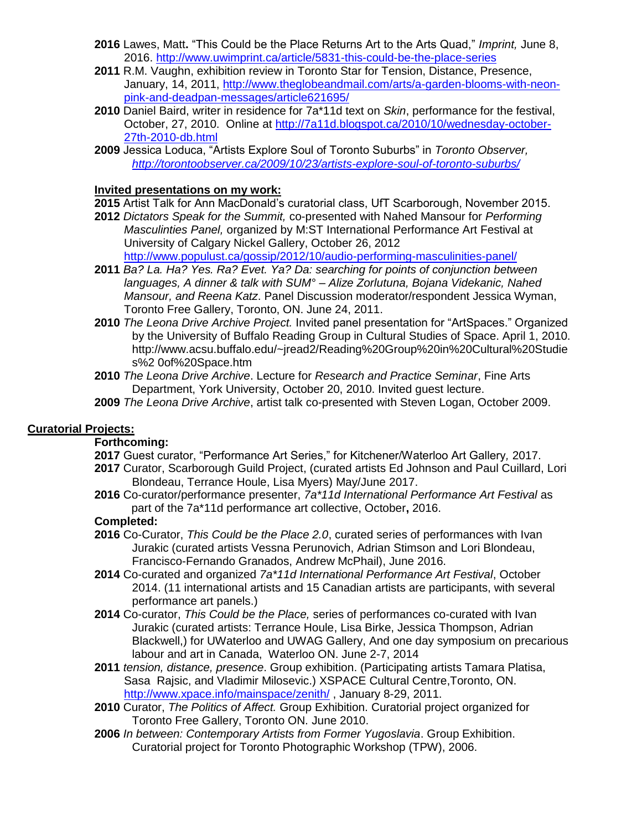- **2016** Lawes, Matt**.** "This Could be the Place Returns Art to the Arts Quad," *Imprint,* June 8, 2016.<http://www.uwimprint.ca/article/5831-this-could-be-the-place-series>
- **2011** R.M. Vaughn, exhibition review in Toronto Star for Tension, Distance, Presence, January, 14, 2011, [http://www.theglobeandmail.com/arts/a-garden-blooms-with-neon](http://www.theglobeandmail.com/arts/a-garden-blooms-with-neon-pink-and-deadpan-messages/article621695/)[pink-and-deadpan-messages/article621695/](http://www.theglobeandmail.com/arts/a-garden-blooms-with-neon-pink-and-deadpan-messages/article621695/)
- **2010** Daniel Baird, writer in residence for 7a\*11d text on *Skin*, performance for the festival, October, 27, 2010. Online at [http://7a11d.blogspot.ca/2010/10/wednesday-october-](http://7a11d.blogspot.ca/2010/10/wednesday-october-27th-2010-db.html)[27th-2010-db.html](http://7a11d.blogspot.ca/2010/10/wednesday-october-27th-2010-db.html)
- **2009** Jessica Loduca, "Artists Explore Soul of Toronto Suburbs" in *Toronto Observer, <http://torontoobserver.ca/2009/10/23/artists-explore-soul-of-toronto-suburbs/>*

### **Invited presentations on my work:**

- **2015** Artist Talk for Ann MacDonald's curatorial class, UfT Scarborough, November 2015.
- **2012** *Dictators Speak for the Summit,* co-presented with Nahed Mansour for *Performing Masculinties Panel,* organized by M:ST International Performance Art Festival at University of Calgary Nickel Gallery, October 26, 2012

<http://www.populust.ca/gossip/2012/10/audio-performing-masculinities-panel/>

- **2011** *Ba? La. Ha? Yes. Ra? Evet. Ya? Da: searching for points of conjunction between languages, A dinner & talk with SUM° – Alize Zorlutuna, Bojana Videkanic, Nahed Mansour, and Reena Katz*. Panel Discussion moderator/respondent Jessica Wyman, Toronto Free Gallery, Toronto, ON. June 24, 2011.
- **2010** *The Leona Drive Archive Project.* Invited panel presentation for "ArtSpaces." Organized by the University of Buffalo Reading Group in Cultural Studies of Space. April 1, 2010. http://www.acsu.buffalo.edu/~jread2/Reading%20Group%20in%20Cultural%20Studie s%2 0of%20Space.htm
- **2010** *The Leona Drive Archive*. Lecture for *Research and Practice Seminar*, Fine Arts Department, York University, October 20, 2010. Invited guest lecture.
- **2009** *The Leona Drive Archive*, artist talk co-presented with Steven Logan, October 2009.

### **Curatorial Projects:**

### **Forthcoming:**

- **2017** Guest curator, "Performance Art Series," for Kitchener/Waterloo Art Gallery*,* 2017.
- **2017** Curator, Scarborough Guild Project, (curated artists Ed Johnson and Paul Cuillard, Lori Blondeau, Terrance Houle, Lisa Myers) May/June 2017.
- **2016** Co-curator/performance presenter, *7a\*11d International Performance Art Festival* as part of the 7a\*11d performance art collective, October**,** 2016.

### **Completed:**

- **2016** Co-Curator, *This Could be the Place 2.0*, curated series of performances with Ivan Jurakic (curated artists Vessna Perunovich, Adrian Stimson and Lori Blondeau, Francisco-Fernando Granados, Andrew McPhail), June 2016.
- **2014** Co-curated and organized *7a\*11d International Performance Art Festival*, October 2014. (11 international artists and 15 Canadian artists are participants, with several performance art panels.)
- **2014** Co-curator, *This Could be the Place,* series of performances co-curated with Ivan Jurakic (curated artists: Terrance Houle, Lisa Birke, Jessica Thompson, Adrian Blackwell,) for UWaterloo and UWAG Gallery, And one day symposium on precarious labour and art in Canada, Waterloo ON. June 2-7, 2014
- **2011** *tension, distance, presence*. Group exhibition. (Participating artists Tamara Platisa, Sasa Rajsic, and Vladimir Milosevic.) XSPACE Cultural Centre,Toronto, ON. <http://www.xpace.info/mainspace/zenith/>, January 8-29, 2011.
- **2010** Curator, *The Politics of Affect.* Group Exhibition. Curatorial project organized for Toronto Free Gallery, Toronto ON. June 2010.
- **2006** *In between: Contemporary Artists from Former Yugoslavia*. Group Exhibition. Curatorial project for Toronto Photographic Workshop (TPW), 2006.